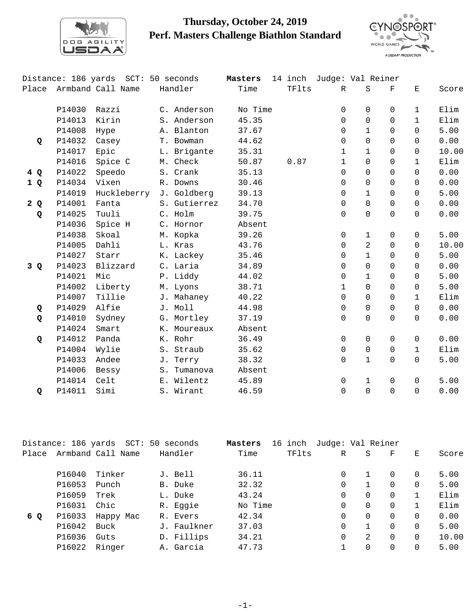

## **Thursday, October 24, 2019 Perf. Masters Challenge Biathlon Standard**



|       |        | Distance: 186 yards SCT: 50 seconds |              | Masters |       | 14 inch Judge: Val Reiner |              |          |              |       |
|-------|--------|-------------------------------------|--------------|---------|-------|---------------------------|--------------|----------|--------------|-------|
| Place |        | Armband Call Name                   | Handler      | Time    | TFlts | $\mathbb{R}$              | S            | F        | Е            | Score |
|       | P14030 | Razzi                               | C. Anderson  | No Time |       | 0                         | $\mathbf 0$  | $\Omega$ | $\mathbf{1}$ | Elim  |
|       | P14013 | Kirin                               | S. Anderson  | 45.35   |       | $\Omega$                  | $\Omega$     | $\Omega$ | $\mathbf{1}$ | Elim  |
|       | P14008 | Hype                                | A. Blanton   | 37.67   |       | 0                         | $\mathbf{1}$ | $\Omega$ | $\Omega$     | 5.00  |
| Q     | P14032 | Casey                               | T. Bowman    | 44.62   |       | 0                         | $\Omega$     | $\Omega$ | $\Omega$     | 0.00  |
|       | P14017 | Epic                                | L. Brigante  | 35.31   |       | $\mathbf{1}$              | $\mathbf{1}$ | $\Omega$ | $\Omega$     | 10.00 |
|       | P14016 | Spice C                             | M. Check     | 50.87   | 0.87  | $\mathbf{1}$              | $\Omega$     | $\Omega$ | $\mathbf{1}$ | Elim  |
| 4 Q   | P14022 | Speedo                              | S. Crank     | 35.13   |       | $\Omega$                  | $\Omega$     | $\Omega$ | $\Omega$     | 0.00  |
| 1 Q   | P14034 | Vixen                               | R. Downs     | 30.46   |       | $\Omega$                  | $\Omega$     | $\Omega$ | $\Omega$     | 0.00  |
|       | P14019 | Huckleberry                         | J. Goldberg  | 39.13   |       | 0                         | $\mathbf{1}$ | $\Omega$ | $\Omega$     | 5.00  |
| 2Q    | P14001 | Fanta                               | S. Gutierrez | 34.70   |       | 0                         | $\Omega$     | $\Omega$ | $\Omega$     | 0.00  |
| Q     | P14025 | Tuuli                               | C. Holm      | 39.75   |       | $\Omega$                  | $\Omega$     | $\Omega$ | $\Omega$     | 0.00  |
|       | P14036 | Spice H                             | C. Hornor    | Absent  |       |                           |              |          |              |       |
|       | P14038 | Skoal                               | M. Kopka     | 39.26   |       | $\mathbf 0$               | $\mathbf{1}$ | $\Omega$ | $\Omega$     | 5.00  |
|       | P14005 | Dahli                               | L. Kras      | 43.76   |       | 0                         | 2            | $\Omega$ | $\Omega$     | 10.00 |
|       | P14027 | Starr                               | K. Lackey    | 35.46   |       | $\Omega$                  | $\mathbf{1}$ | $\Omega$ | $\Omega$     | 5.00  |
| 3 Q   | P14023 | Blizzard                            | C. Laria     | 34.89   |       | 0                         | $\Omega$     | $\Omega$ | $\Omega$     | 0.00  |
|       | P14021 | Mic                                 | P. Liddy     | 44.02   |       | 0                         | $\mathbf{1}$ | $\Omega$ | $\Omega$     | 5.00  |
|       | P14002 | Liberty                             | M. Lyons     | 38.71   |       | $\mathbf{1}$              | $\Omega$     | $\Omega$ | $\Omega$     | 5.00  |
|       | P14007 | Tillie                              | J. Mahaney   | 40.22   |       | 0                         | $\Omega$     | $\Omega$ | $\mathbf{1}$ | Elim  |
| Q     | P14029 | Alfie                               | J. Moll      | 44.98   |       | 0                         | $\Omega$     | $\Omega$ | $\Omega$     | 0.00  |
| Q     | P14010 | Sydney                              | G. Mortley   | 37.19   |       | $\Omega$                  | $\Omega$     | $\Omega$ | $\Omega$     | 0.00  |
|       | P14024 | Smart                               | K. Moureaux  | Absent  |       |                           |              |          |              |       |
| Q     | P14012 | Panda                               | K. Rohr      | 36.49   |       | 0                         | $\mathsf{O}$ | $\Omega$ | $\mathsf{O}$ | 0.00  |
|       | P14004 | Wylie                               | S. Straub    | 35.62   |       | 0                         | $\mathbf 0$  | $\Omega$ | $\mathbf{1}$ | Elim  |
|       | P14033 | Andee                               | J. Terry     | 38.32   |       | $\Omega$                  | $\mathbf{1}$ | $\Omega$ | $\Omega$     | 5.00  |
|       | P14006 | Bessy                               | S. Tumanova  | Absent  |       |                           |              |          |              |       |
|       | P14014 | Celt                                | E. Wilentz   | 45.89   |       | 0                         | $\mathbf{1}$ | $\Omega$ | $\Omega$     | 5.00  |
| Q     | P14011 | Simi                                | S. Wirant    | 46.59   |       | $\Omega$                  | $\Omega$     | $\Omega$ | $\Omega$     | 0.00  |

|       | Distance: 186 yards |                   | SCT: 50 seconds | Masters | inch<br>16 | Judge: Val Reiner |               |          |          |       |
|-------|---------------------|-------------------|-----------------|---------|------------|-------------------|---------------|----------|----------|-------|
| Place |                     | Armband Call Name | Handler         | Time    | TFlts      | R                 | S             | F        | Е        | Score |
|       | P16040              | Tinker            | J. Bell         | 36.11   |            | 0                 |               | $\Omega$ | $\Omega$ | 5.00  |
|       |                     |                   |                 |         |            |                   |               |          |          |       |
|       | P16053              | Punch             | B. Duke         | 32.32   |            | 0                 |               | $\Omega$ | $\Omega$ | 5.00  |
|       | P16059              | Trek              | L. Duke         | 43.24   |            | $\Omega$          | $\Omega$      | $\Omega$ |          | Elim  |
|       | P16031              | Chic              | R. Eggie        | No Time |            | $\Omega$          | $\Omega$      | $\Omega$ |          | Elim  |
| 6 Q   | P16033              | Happy Mac         | R. Evers        | 42.34   |            | $\Omega$          | $\Omega$      | $\Omega$ | $\Omega$ | 0.00  |
|       | P16042              | Buck              | J. Faulkner     | 37.03   |            | $\Omega$          |               | $\Omega$ | $\Omega$ | 5.00  |
|       | P16036              | Guts              | D. Fillips      | 34.21   |            | $\Omega$          | $\mathcal{L}$ | $\Omega$ | $\Omega$ | 10.00 |
|       | P16022              | Ringer            | A. Garcia       | 47.73   |            |                   | $\Omega$      | $\Omega$ | $\Omega$ | 5.00  |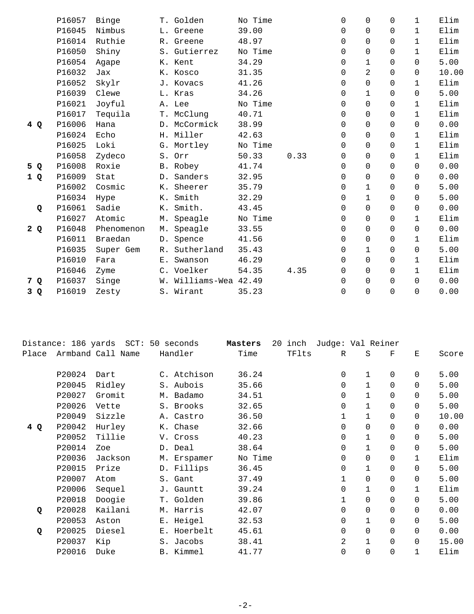|     | P16057 | Binge      | T. Golden             | No Time |      | $\Omega$ | $\Omega$     | $\Omega$ | $\mathbf{1}$ | Elim  |
|-----|--------|------------|-----------------------|---------|------|----------|--------------|----------|--------------|-------|
|     | P16045 | Nimbus     | L. Greene             | 39.00   |      | $\Omega$ | $\Omega$     | $\Omega$ | $\mathbf{1}$ | Elim  |
|     | P16014 | Ruthie     | R. Greene             | 48.97   |      | $\Omega$ | $\Omega$     | 0        | $\mathbf{1}$ | Elim  |
|     | P16050 | Shiny      | S. Gutierrez          | No Time |      | $\Omega$ | $\mathbf 0$  | $\Omega$ | $\mathbf{1}$ | Elim  |
|     | P16054 | Agape      | K. Kent               | 34.29   |      | 0        | $\mathbf{1}$ | $\Omega$ | $\Omega$     | 5.00  |
|     | P16032 | Jax        | K. Kosco              | 31.35   |      | $\Omega$ | 2            | $\Omega$ | $\Omega$     | 10.00 |
|     | P16052 | Skylr      | J. Kovacs             | 41.26   |      | 0        | 0            | 0        | $\mathbf{1}$ | Elim  |
|     | P16039 | Clewe      | L. Kras               | 34.26   |      | 0        | $\mathbf 1$  | $\Omega$ | $\Omega$     | 5.00  |
|     | P16021 | Joyful     | A. Lee                | No Time |      | 0        | $\Omega$     | 0        | $\mathbf{1}$ | Elim  |
|     | P16017 | Tequila    | T. McClung            | 40.71   |      | $\Omega$ | $\Omega$     | $\Omega$ | 1            | Elim  |
| 4 Q | P16006 | Hana       | D. McCormick          | 38.99   |      | 0        | 0            | $\Omega$ | $\Omega$     | 0.00  |
|     | P16024 | Echo       | H. Miller             | 42.63   |      | $\Omega$ | $\Omega$     | 0        | $\mathbf{1}$ | Elim  |
|     | P16025 | Loki       | G. Mortley            | No Time |      | $\Omega$ | $\Omega$     | $\Omega$ | $\mathbf{1}$ | Elim  |
|     | P16058 | Zydeco     | S. Orr                | 50.33   | 0.33 | 0        | $\Omega$     | $\Omega$ | $\mathbf{1}$ | Elim  |
| 5 Q | P16008 | Roxie      | B. Robey              | 41.74   |      | 0        | $\mathbf 0$  | $\Omega$ | $\Omega$     | 0.00  |
| 1 Q | P16009 | Stat       | D. Sanders            | 32.95   |      | 0        | $\Omega$     | $\Omega$ | $\Omega$     | 0.00  |
|     | P16002 | Cosmic     | K. Sheerer            | 35.79   |      | 0        | $\mathbf{1}$ | $\Omega$ | $\Omega$     | 5.00  |
|     | P16034 | Hype       | K. Smith              | 32.29   |      | $\Omega$ | $\mathbf{1}$ | $\Omega$ | $\Omega$     | 5.00  |
| Q   | P16061 | Sadie      | K. Smith.             | 43.45   |      | 0        | $\Omega$     | $\Omega$ | $\Omega$     | 0.00  |
|     | P16027 | Atomic     | M. Speagle            | No Time |      | 0        | $\mathbf 0$  | $\Omega$ | $\mathbf{1}$ | Elim  |
| 2Q  | P16048 | Phenomenon | M. Speagle            | 33.55   |      | 0        | $\Omega$     | $\Omega$ | 0            | 0.00  |
|     | P16011 | Braedan    | D. Spence             | 41.56   |      | $\Omega$ | $\Omega$     | $\Omega$ | $\mathbf{1}$ | Elim  |
|     | P16035 | Super Gem  | R. Sutherland         | 35.43   |      | $\Omega$ | $\mathbf 1$  | $\Omega$ | $\Omega$     | 5.00  |
|     | P16010 | Fara       | E. Swanson            | 46.29   |      | 0        | $\mathbf 0$  | $\Omega$ | $\mathbf{1}$ | Elim  |
|     | P16046 | Zyme       | C. Voelker            | 54.35   | 4.35 | 0        | $\Omega$     | $\Omega$ | $\mathbf{1}$ | Elim  |
| 7 Q | P16037 | Singe      | W. Williams-Wea 42.49 |         |      | $\Omega$ | $\Omega$     | $\Omega$ | $\Omega$     | 0.00  |
| 3 Q | P16019 | Zesty      | S. Wirant             | 35.23   |      | 0        | $\Omega$     | $\Omega$ | $\Omega$     | 0.00  |
|     |        |            |                       |         |      |          |              |          |              |       |

|        |         | Handler                                             | Time       |         | R            | S                   | F        | E                 | Score |
|--------|---------|-----------------------------------------------------|------------|---------|--------------|---------------------|----------|-------------------|-------|
| P20024 | Dart    | C. Atchison                                         | 36.24      |         | 0            | $\mathbf{1}$        | $\Omega$ | $\Omega$          | 5.00  |
| P20045 | Ridley  | S. Aubois                                           | 35.66      |         | $\Omega$     |                     | $\Omega$ | $\Omega$          | 5.00  |
| P20027 | Gromit  | M. Badamo                                           | 34.51      |         | $\Omega$     | $\mathbf{1}$        | $\Omega$ | $\Omega$          | 5.00  |
| P20026 | Vette   | S. Brooks                                           | 32.65      |         | 0            | 1                   | $\Omega$ | $\Omega$          | 5.00  |
| P20049 | Sizzle  | A. Castro                                           | 36.50      |         | $\mathbf 1$  | 1                   | $\Omega$ | $\Omega$          | 10.00 |
| P20042 | Hurley  | K. Chase                                            | 32.66      |         | 0            | 0                   | $\Omega$ | $\Omega$          | 0.00  |
| P20052 | Tillie  | V. Cross                                            | 40.23      |         | $\mathbf 0$  |                     | $\Omega$ | $\Omega$          | 5.00  |
| P20014 | Zoe     | D. Deal                                             | 38.64      |         | $\mathbf 0$  | $\mathbf{1}$        | $\Omega$ | $\Omega$          | 5.00  |
| P20036 | Jackson | M. Erspamer                                         | No Time    |         | $\mathbf 0$  | $\Omega$            | $\Omega$ | $\mathbf{1}$      | Elim  |
| P20015 | Prize   | D. Fillips                                          | 36.45      |         | $\mathbf 0$  | $\mathbf{1}$        | $\Omega$ | $\Omega$          | 5.00  |
| P20007 | Atom    | S. Gant                                             | 37.49      |         | $\mathbf 1$  | 0                   | $\Omega$ | 0                 | 5.00  |
| P20006 | Sequel  | J. Gauntt                                           | 39.24      |         | $\Omega$     |                     | $\Omega$ | $\mathbf{1}$      | Elim  |
| P20018 | Doogie  | T. Golden                                           | 39.86      |         | $\mathbf{1}$ | $\Omega$            | $\Omega$ | $\Omega$          | 5.00  |
| P20028 | Kailani | M. Harris                                           | 42.07      |         | $\Omega$     | $\Omega$            | $\Omega$ | $\Omega$          | 0.00  |
| P20053 | Aston   | E. Heigel                                           | 32.53      |         | $\mathbf 0$  | 1                   | $\Omega$ | 0                 | 5.00  |
| P20025 | Diesel  | E. Hoerbelt                                         | 45.61      |         | $\mathbf 0$  | $\Omega$            | $\Omega$ | 0                 | 0.00  |
| P20037 | Kip     | S. Jacobs                                           | 38.41      |         | 2            |                     | $\Omega$ | $\Omega$          | 15.00 |
| P20016 | Duke    | B. Kimmel                                           | 41.77      |         | $\mathbf 0$  | $\Omega$            | $\Omega$ |                   | Elim  |
|        |         | Distance: 186 yards<br>$SCT$ :<br>Armband Call Name | 50 seconds | Masters |              | 20<br>inch<br>TFlts |          | Judge: Val Reiner |       |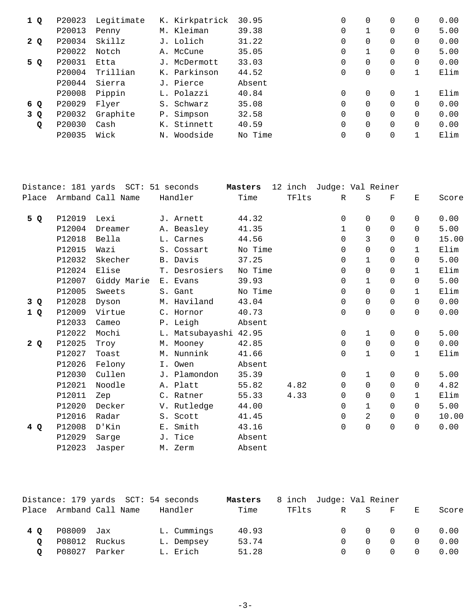| 1 Q | P20023 | Legitimate |       | K. Kirkpatrick | 30.95   | $\Omega$ | $\Omega$ | 0        | 0.00 |
|-----|--------|------------|-------|----------------|---------|----------|----------|----------|------|
|     | P20013 | Penny      |       | M. Kleiman     | 39.38   | 0        |          | 0        | 5.00 |
| 2 Q | P20034 | Skillz     |       | J. Lolich      | 31.22   | 0        | $\Omega$ | 0        | 0.00 |
|     | P20022 | Notch      |       | A. McCune      | 35.05   | 0        |          | 0        | 5.00 |
| 5 Q | P20031 | Etta       |       | McDermott      | 33.03   | 0        | $\Omega$ | $\Omega$ | 0.00 |
|     | P20004 | Trillian   |       | K. Parkinson   | 44.52   | 0        | 0        |          | Elim |
|     | P20044 | Sierra     |       | J. Pierce      | Absent  |          |          |          |      |
|     | P20008 | Pippin     |       | L. Polazzi     | 40.84   | $\Omega$ | $\Omega$ |          | Elim |
| 6 Q | P20029 | Flyer      | $S$ . | Schwarz        | 35.08   | $\Omega$ | $\Omega$ | $\Omega$ | 0.00 |
| 3 Q | P20032 | Graphite   | $P$ . | Simpson        | 32.58   | $\Omega$ | $\Omega$ | $\Omega$ | 0.00 |
| Q   | P20030 | Cash       | К.    | Stinnett       | 40.59   | $\Omega$ | $\Omega$ | $\Omega$ | 0.00 |
|     | P20035 | Wick       | Ν.    | Woodside       | No Time | $\Omega$ | $\Omega$ |          | Elim |

|       |        | Distance: 181 yards SCT: 51 seconds |                       | Masters |       | 12 inch Judge: Val Reiner |                |            |              |       |
|-------|--------|-------------------------------------|-----------------------|---------|-------|---------------------------|----------------|------------|--------------|-------|
| Place |        | Armband Call Name                   | Handler               | Time    | TFlts | $\mathbb{R}$              | S              | $_{\rm F}$ | Ε            | Score |
| 5 Q   | P12019 | Lexi                                | J. Arnett             | 44.32   |       | 0                         | $\Omega$       | $\Omega$   | $\Omega$     | 0.00  |
|       | P12004 | Dreamer                             | A. Beasley            | 41.35   |       | $\mathbf{1}$              | $\Omega$       | $\Omega$   | $\Omega$     | 5.00  |
|       | P12018 | Bella                               | L. Carnes             | 44.56   |       | 0                         | 3              | $\Omega$   | $\Omega$     | 15.00 |
|       | P12015 | Wazi                                | S. Cossart            | No Time |       | $\Omega$                  | $\Omega$       | $\Omega$   | $\mathbf{1}$ | Elim  |
|       | P12032 | Skecher                             | B. Davis              | 37.25   |       | $\Omega$                  | $\mathbf{1}$   | $\Omega$   | $\Omega$     | 5.00  |
|       | P12024 | Elise                               | T. Desrosiers         | No Time |       | 0                         | $\Omega$       | $\Omega$   | $\mathbf{1}$ | Elim  |
|       | P12007 | Giddy Marie                         | E. Evans              | 39.93   |       | $\Omega$                  | $\mathbf{1}$   | $\Omega$   | $\Omega$     | 5.00  |
|       | P12005 | Sweets                              | S. Gant               | No Time |       | $\Omega$                  | $\Omega$       | $\Omega$   | $\mathbf{1}$ | Elim  |
| 3 Q   | P12028 | Dyson                               | M. Haviland           | 43.04   |       | 0                         | $\mathsf{O}$   | $\Omega$   | $\Omega$     | 0.00  |
| 1Q    | P12009 | Virtue                              | C. Hornor             | 40.73   |       | 0                         | $\Omega$       | $\Omega$   | $\Omega$     | 0.00  |
|       | P12033 | Cameo                               | P. Leigh              | Absent  |       |                           |                |            |              |       |
|       | P12022 | Mochi                               | L. Matsubayashi 42.95 |         |       | 0                         | $\mathbf{1}$   | $\Omega$   | $\Omega$     | 5.00  |
| 2Q    | P12025 | Troy                                | M. Mooney             | 42.85   |       | $\Omega$                  | $\mathbf 0$    | $\Omega$   | $\Omega$     | 0.00  |
|       | P12027 | Toast                               | M. Nunnink            | 41.66   |       | 0                         | $\mathbf{1}$   | $\Omega$   | $\mathbf{1}$ | Elim  |
|       | P12026 | Felony                              | I. Owen               | Absent  |       |                           |                |            |              |       |
|       | P12030 | Cullen                              | J. Plamondon          | 35.39   |       | 0                         | $\mathbf{1}$   | $\Omega$   | $\Omega$     | 5.00  |
|       | P12021 | Noodle                              | A. Platt              | 55.82   | 4.82  | 0                         | $\mathbf 0$    | $\Omega$   | $\Omega$     | 4.82  |
|       | P12011 | Zep                                 | C. Ratner             | 55.33   | 4.33  | $\Omega$                  | $\mathbf 0$    | $\Omega$   | $\mathbf{1}$ | Elim  |
|       | P12020 | Decker                              | V. Rutledge           | 44.00   |       | 0                         | $\mathbf{1}$   | $\Omega$   | $\Omega$     | 5.00  |
|       | P12016 | Radar                               | S. Scott              | 41.45   |       | 0                         | $\overline{a}$ | $\Omega$   | $\Omega$     | 10.00 |
| 4 Q   | P12008 | D'Kin                               | E. Smith              | 43.16   |       | 0                         | $\mathsf{O}$   | $\Omega$   | $\Omega$     | 0.00  |
|       | P12029 | Sarge                               | J. Tice               | Absent  |       |                           |                |            |              |       |
|       | P12023 | Jasper                              | M. Zerm               | Absent  |       |                           |                |            |              |       |

|         |               | Distance: 179 yards SCT: 54 seconds |             | Masters | 8 inch Judge: Val Reiner |          |          |              |           |                                                     |
|---------|---------------|-------------------------------------|-------------|---------|--------------------------|----------|----------|--------------|-----------|-----------------------------------------------------|
|         |               | Place Armband Call Name             | Handler     | Time    | TFlts                    |          | R S      | $\mathbf{F}$ | - E -     | Score                                               |
| 4 O     | P08009 Jax    |                                     | L. Cummings | 40.93   |                          |          |          |              |           | $\begin{matrix} 0 & 0 & 0 & 0 & 0 & 0 \end{matrix}$ |
|         | P08012 Ruckus |                                     | L. Dempsey  | 53.74   |                          | $\Omega$ | $\Omega$ | $\Omega$     |           | 0.00                                                |
| $\circ$ | P08027 Parker |                                     | L. Erich    | 51.28   |                          | $\Omega$ | $\Omega$ | $\Omega$     | $\bigcap$ | 0.00                                                |